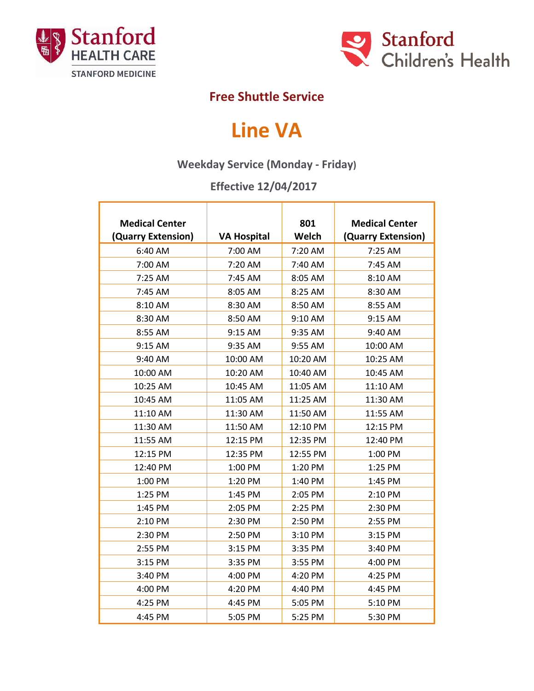



## **Free Shuttle Service**

## **Line VA**

## **Weekday Service (Monday - Friday)**

## **Effective 12/04/2017**

| <b>Medical Center</b> |                    | 801      | <b>Medical Center</b> |
|-----------------------|--------------------|----------|-----------------------|
| (Quarry Extension)    | <b>VA Hospital</b> | Welch    | (Quarry Extension)    |
| 6:40 AM               | 7:00 AM            | 7:20 AM  | 7:25 AM               |
| 7:00 AM               | 7:20 AM            | 7:40 AM  | 7:45 AM               |
| 7:25 AM               | 7:45 AM            | 8:05 AM  | 8:10 AM               |
| 7:45 AM               | 8:05 AM            | 8:25 AM  | 8:30 AM               |
| 8:10 AM               | 8:30 AM            | 8:50 AM  | 8:55 AM               |
| 8:30 AM               | 8:50 AM            | 9:10 AM  | 9:15 AM               |
| 8:55 AM               | 9:15 AM            | 9:35 AM  | 9:40 AM               |
| 9:15 AM               | 9:35 AM            | 9:55 AM  | 10:00 AM              |
| 9:40 AM               | 10:00 AM           | 10:20 AM | 10:25 AM              |
| 10:00 AM              | 10:20 AM           | 10:40 AM | 10:45 AM              |
| 10:25 AM              | 10:45 AM           | 11:05 AM | 11:10 AM              |
| 10:45 AM              | 11:05 AM           | 11:25 AM | 11:30 AM              |
| 11:10 AM              | 11:30 AM           | 11:50 AM | 11:55 AM              |
| 11:30 AM              | 11:50 AM           | 12:10 PM | 12:15 PM              |
| 11:55 AM              | 12:15 PM           | 12:35 PM | 12:40 PM              |
| 12:15 PM              | 12:35 PM           | 12:55 PM | 1:00 PM               |
| 12:40 PM              | 1:00 PM            | 1:20 PM  | 1:25 PM               |
| 1:00 PM               | 1:20 PM            | 1:40 PM  | 1:45 PM               |
| 1:25 PM               | 1:45 PM            | 2:05 PM  | 2:10 PM               |
| 1:45 PM               | 2:05 PM            | 2:25 PM  | 2:30 PM               |
| 2:10 PM               | 2:30 PM            | 2:50 PM  | 2:55 PM               |
| 2:30 PM               | 2:50 PM            | 3:10 PM  | 3:15 PM               |
| 2:55 PM               | 3:15 PM            | 3:35 PM  | 3:40 PM               |
| 3:15 PM               | 3:35 PM            | 3:55 PM  | 4:00 PM               |
| 3:40 PM               | 4:00 PM            | 4:20 PM  | 4:25 PM               |
| 4:00 PM               | 4:20 PM            | 4:40 PM  | 4:45 PM               |
| 4:25 PM               | 4:45 PM            | 5:05 PM  | 5:10 PM               |
| 4:45 PM               | 5:05 PM            | 5:25 PM  | 5:30 PM               |